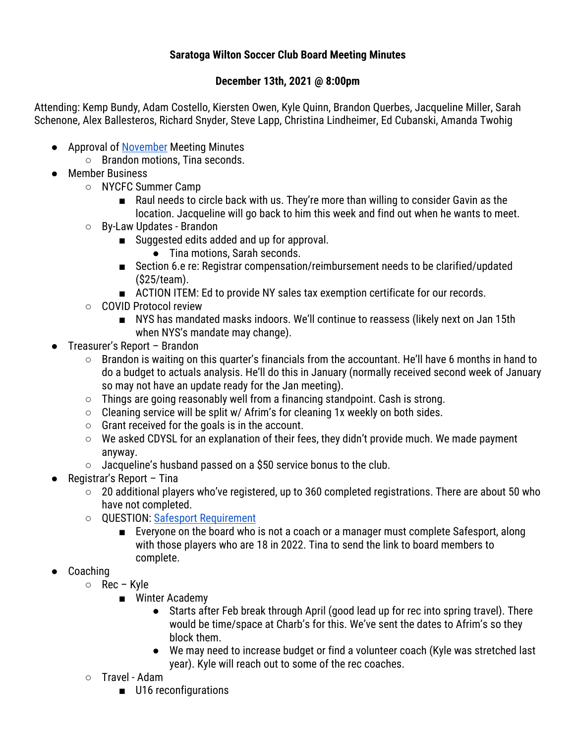## **Saratoga Wilton Soccer Club Board Meeting Minutes**

## **December 13th, 2021 @ 8:00pm**

Attending: Kemp Bundy, Adam Costello, Kiersten Owen, Kyle Quinn, Brandon Querbes, Jacqueline Miller, Sarah Schenone, Alex Ballesteros, Richard Snyder, Steve Lapp, Christina Lindheimer, Ed Cubanski, Amanda Twohig

- Approval of November Meeting Minutes
	- Brandon motions, Tina seconds.
- Member Business
	- NYCFC Summer Camp
		- Raul needs to circle back with us. They're more than willing to consider Gavin as the location. Jacqueline will go back to him this week and find out when he wants to meet.
	- By-Law Updates Brandon
		- Suggested edits added and up for approval.
			- Tina motions, Sarah seconds.
		- Section 6.e re: Registrar compensation/reimbursement needs to be clarified/updated (\$25/team).
		- ACTION ITEM: Ed to provide NY sales tax exemption certificate for our records.
	- COVID Protocol review
		- NYS has mandated masks indoors. We'll continue to reassess (likely next on Jan 15th when NYS's mandate may change).
- Treasurer's Report Brandon
	- $\circ$  Brandon is waiting on this quarter's financials from the accountant. He'll have 6 months in hand to do a budget to actuals analysis. He'll do this in January (normally received second week of January so may not have an update ready for the Jan meeting).
	- Things are going reasonably well from a financing standpoint. Cash is strong.
	- $\circ$  Cleaning service will be split w/ Afrim's for cleaning 1x weekly on both sides.
	- $\circ$  Grant received for the goals is in the account.
	- We asked CDYSL for an explanation of their fees, they didn't provide much. We made payment anyway.
	- $\circ$  Jacqueline's husband passed on a \$50 service bonus to the club.
- Registrar's Report Tina
	- $\circ$  20 additional players who've registered, up to 360 completed registrations. There are about 50 who have not completed.
	- QUESTION: Safesport Requirement
		- Everyone on the board who is not a coach or a manager must complete Safesport, along with those players who are 18 in 2022. Tina to send the link to board members to complete.
- Coaching
	- Rec Kyle
		- Winter Academy
			- Starts after Feb break through April (good lead up for rec into spring travel). There would be time/space at Charb's for this. We've sent the dates to Afrim's so they block them.
			- We may need to increase budget or find a volunteer coach (Kyle was stretched last year). Kyle will reach out to some of the rec coaches.
	- Travel Adam
		- U16 reconfigurations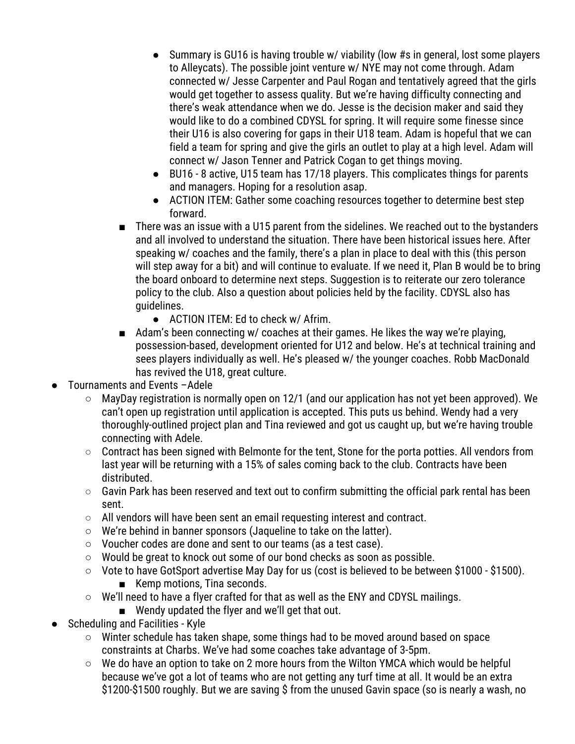- Summary is GU16 is having trouble w/ viability (low #s in general, lost some players to Alleycats). The possible joint venture w/ NYE may not come through. Adam connected w/ Jesse Carpenter and Paul Rogan and tentatively agreed that the girls would get together to assess quality. But we're having difficulty connecting and there's weak attendance when we do. Jesse is the decision maker and said they would like to do a combined CDYSL for spring. It will require some finesse since their U16 is also covering for gaps in their U18 team. Adam is hopeful that we can field a team for spring and give the girls an outlet to play at a high level. Adam will connect w/ Jason Tenner and Patrick Cogan to get things moving.
- BU16 8 active, U15 team has 17/18 players. This complicates things for parents and managers. Hoping for a resolution asap.
- ACTION ITEM: Gather some coaching resources together to determine best step forward.
- There was an issue with a U15 parent from the sidelines. We reached out to the bystanders and all involved to understand the situation. There have been historical issues here. After speaking w/ coaches and the family, there's a plan in place to deal with this (this person will step away for a bit) and will continue to evaluate. If we need it, Plan B would be to bring the board onboard to determine next steps. Suggestion is to reiterate our zero tolerance policy to the club. Also a question about policies held by the facility. CDYSL also has guidelines.
	- ACTION ITEM: Ed to check w/ Afrim.
- Adam's been connecting w/ coaches at their games. He likes the way we're playing, possession-based, development oriented for U12 and below. He's at technical training and sees players individually as well. He's pleased w/ the younger coaches. Robb MacDonald has revived the U18, great culture.
- Tournaments and Events -Adele
	- MayDay registration is normally open on 12/1 (and our application has not yet been approved). We can't open up registration until application is accepted. This puts us behind. Wendy had a very thoroughly-outlined project plan and Tina reviewed and got us caught up, but we're having trouble connecting with Adele.
	- Contract has been signed with Belmonte for the tent, Stone for the porta potties. All vendors from last year will be returning with a 15% of sales coming back to the club. Contracts have been distributed.
	- Gavin Park has been reserved and text out to confirm submitting the official park rental has been sent.
	- All vendors will have been sent an email requesting interest and contract.
	- We're behind in banner sponsors (Jaqueline to take on the latter).
	- Voucher codes are done and sent to our teams (as a test case).
	- Would be great to knock out some of our bond checks as soon as possible.
	- Vote to have GotSport advertise May Day for us (cost is believed to be between \$1000 \$1500).
		- Kemp motions, Tina seconds.
	- We'll need to have a flyer crafted for that as well as the ENY and CDYSL mailings.
		- Wendy updated the flyer and we'll get that out.
- Scheduling and Facilities Kyle
	- Winter schedule has taken shape, some things had to be moved around based on space constraints at Charbs. We've had some coaches take advantage of 3-5pm.
	- We do have an option to take on 2 more hours from the Wilton YMCA which would be helpful because we've got a lot of teams who are not getting any turf time at all. It would be an extra \$1200-\$1500 roughly. But we are saving \$ from the unused Gavin space (so is nearly a wash, no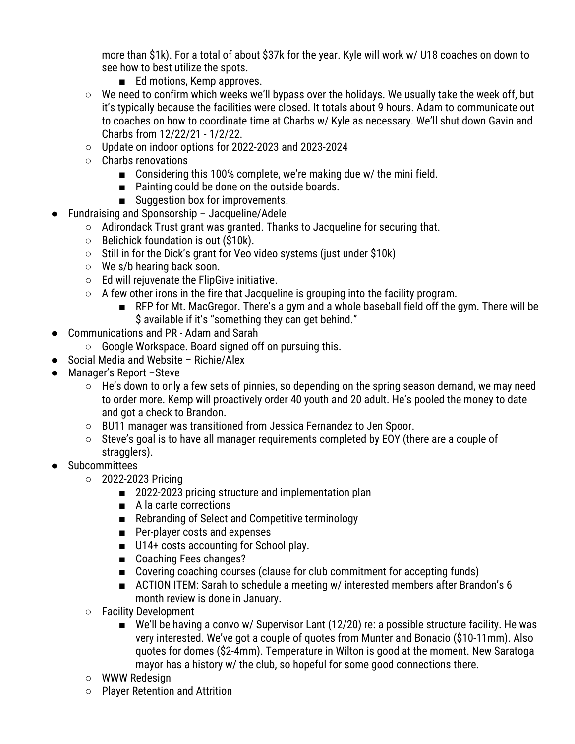more than \$1k). For a total of about \$37k for the year. Kyle will work w/ U18 coaches on down to see how to best utilize the spots.

- Ed motions, Kemp approves.
- We need to confirm which weeks we'll bypass over the holidays. We usually take the week off, but it's typically because the facilities were closed. It totals about 9 hours. Adam to communicate out to coaches on how to coordinate time at Charbs w/ Kyle as necessary. We'll shut down Gavin and Charbs from 12/22/21 - 1/2/22.
- Update on indoor options for 2022-2023 and 2023-2024
- Charbs renovations
	- Considering this 100% complete, we're making due w/ the mini field.
	- Painting could be done on the outside boards.
	- Suggestion box for improvements.
- Fundraising and Sponsorship Jacqueline/Adele
	- Adirondack Trust grant was granted. Thanks to Jacqueline for securing that.
	- Belichick foundation is out (\$10k).
	- Still in for the Dick's grant for Veo video systems (just under \$10k)
	- We s/b hearing back soon.
	- Ed will rejuvenate the FlipGive initiative.
	- A few other irons in the fire that Jacqueline is grouping into the facility program.
		- RFP for Mt. MacGregor. There's a gym and a whole baseball field off the gym. There will be \$ available if it's "something they can get behind."
- Communications and PR Adam and Sarah
	- Google Workspace. Board signed off on pursuing this.
- Social Media and Website Richie/Alex
- Manager's Report –Steve
	- He's down to only a few sets of pinnies, so depending on the spring season demand, we may need to order more. Kemp will proactively order 40 youth and 20 adult. He's pooled the money to date and got a check to Brandon.
	- BU11 manager was transitioned from Jessica Fernandez to Jen Spoor.
	- Steve's goal is to have all manager requirements completed by EOY (there are a couple of stragglers).
- **Subcommittees** 
	- 2022-2023 Pricing
		- 2022-2023 pricing structure and implementation plan
		- A la carte corrections
		- Rebranding of Select and Competitive terminology
		- Per-player costs and expenses
		- U14+ costs accounting for School play.
		- Coaching Fees changes?
		- Covering coaching courses (clause for club commitment for accepting funds)
		- ACTION ITEM: Sarah to schedule a meeting w/ interested members after Brandon's 6 month review is done in January.
	- Facility Development
		- We'll be having a convo w/ Supervisor Lant (12/20) re: a possible structure facility. He was very interested. We've got a couple of quotes from Munter and Bonacio (\$10-11mm). Also quotes for domes (\$2-4mm). Temperature in Wilton is good at the moment. New Saratoga mayor has a history w/ the club, so hopeful for some good connections there.
	- WWW Redesign
	- Player Retention and Attrition